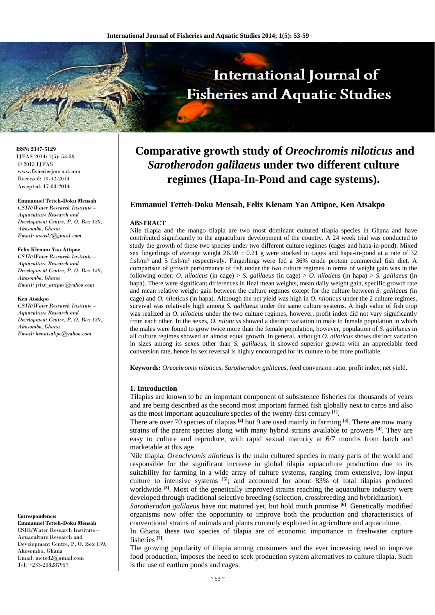# International Journal of **Fisheries and Aquatic Studies**

**ISSN: 2347-5129** IJFAS 2014; 1(5): 53-59 © 2013 IJFAS www.fisheriesjournal.com Received: 19-02-2014 Accepted: 17-03-2014

#### **Emmanuel Tetteh-Doku Mensah**

*CSIR/Water Research Institute – Aquaculture Research and Development Centre, P. O. Box 139, Akosombo, Ghana Email: meted2@gmail.com* 

#### **Felix Klenam Yao Attipoe**

*CSIR/Water Research Institute – Aquaculture Research and Development Centre, P. O. Box 139, Akosombo, Ghana Email: felix\_attipoe@yahoo.com* 

#### **Ken Atsakpo**

*CSIR/Water Research Institute – Aquaculture Research and Development Centre, P. O. Box 139, Akosombo, Ghana Email: kenatsakpo@yahoo.com* 

**Correspondence:** 

**Emmanuel Tetteh-Doku Mensah**  CSIR/Water Research Institute – Aquaculture Research and Development Centre, P. O. Box 139, Akosombo, Ghana Email: meted2@gmail.com Tel: +233-208287957

# **Comparative growth study of** *Oreochromis niloticus* **and**  *Sarotherodon galilaeus* **under two different culture regimes (Hapa-In-Pond and cage systems).**

#### **Emmanuel Tetteh-Doku Mensah, Felix Klenam Yao Attipoe, Ken Atsakpo**

#### **ABSTRACT**

Nile tilapia and the mango tilapia are two most dominant cultured tilapia species in Ghana and have contributed significantly to the aquaculture development of the country. A 24 week trial was conducted to study the growth of these two species under two different culture regimes (cages and hapa-in-pond). Mixed sex fingerlings of average weight  $26.90 \pm 0.21$  g were stocked in cages and hapa-in-pond at a rate of 32 fish/m<sup>3</sup> and 5 fish/m<sup>2</sup> respectively. Fingerlings were fed a 36% crude protein commercial fish diet. A comparison of growth performance of fish under the two culture regimes in terms of weight gain was in the following order; *O. niloticus* (in cage) > *S. galilaeus* (in cage) > *O. niloticus* (in hapa) > *S. galilaeus* (in hapa). There were significant differences in final mean weights, mean daily weight gain, specific growth rate and mean relative weight gain between the culture regimes except for the culture between *S. galilaeus* (in cage) and *O. niloticus* (in hapa). Although the net yield was high in *O. niloticus* under the 2 culture regimes, survival was relatively high among *S. galilaeus* under the same culture systems. A high value of fish crop was realized in *O. niloticus* under the two culture regimes, however, profit index did not vary significantly from each other. In the sexes, *O. niloticus* showed a distinct variation in male to female population in which the males were found to grow twice more than the female population, however, population of *S. galilaeus* in all culture regimes showed an almost equal growth. In general, although *O. niloticus* shows distinct variation in sizes among its sexes other than *S. galilaeus*, it showed superior growth with an appreciable feed conversion rate, hence its sex reversal is highly encouraged for its culture to be more profitable.

**Keywords:** *Oreochromis niloticus*, *Sarotherodon galilaeus*, feed conversion ratio, profit index, net yield.

#### **1. Introduction**

Tilapias are known to be an important component of subsistence fisheries for thousands of years and are being described as the second most important farmed fish globally next to carps and also as the most important aquaculture species of the twenty-first century **[1]**.

There are over 70 species of tilapias **[2]** but 9 are used mainly in farming **[3]**. There are now many strains of the parent species along with many hybrid strains available to growers **[4]**. They are easy to culture and reproduce, with rapid sexual maturity at 6/7 months from hatch and marketable at this age.

Nile tilapia, *Oreochromis niloticus* is the main cultured species in many parts of the world and responsible for the significant increase in global tilapia aquaculture production due to its suitability for farming in a wide array of culture systems, ranging from extensive, low-input culture to intensive systems **[5]**; and accounted for about 83% of total tilapias produced worldwide <sup>[3]</sup>. Most of the genetically improved strains reaching the aquaculture industry were developed through traditional selective breeding (selection, crossbreeding and hybridization).

*Sarotherodon galilaeus* have not matured yet, but hold much promise **[6]**. Genetically modified organisms now offer the opportunity to improve both the production and characteristics of conventional strains of animals and plants currently exploited in agriculture and aquaculture.

In Ghana, these two species of tilapia are of economic importance in freshwater capture fisheries **[7]**.

The growing popularity of tilapia among consumers and the ever increasing need to improve food production, imposes the need to seek production system alternatives to culture tilapia. Such is the use of earthen ponds and cages.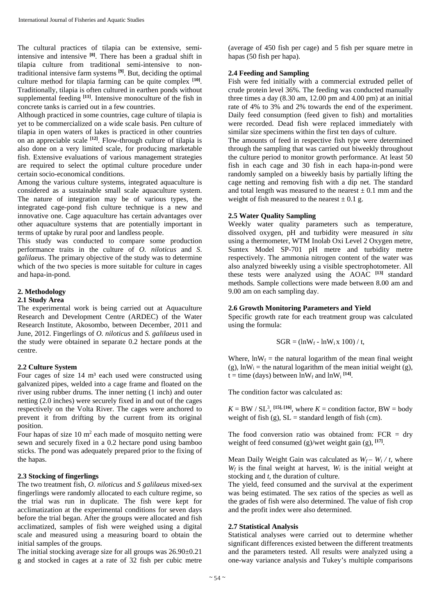The cultural practices of tilapia can be extensive, semiintensive and intensive **[8]**. There has been a gradual shift in tilapia culture from traditional semi-intensive to nontraditional intensive farm systems **[9]**. But, deciding the optimal culture method for tilapia farming can be quite complex **[10]**. Traditionally, tilapia is often cultured in earthen ponds without supplemental feeding **[11]**. Intensive monoculture of the fish in concrete tanks is carried out in a few countries.

Although practiced in some countries, cage culture of tilapia is yet to be commercialized on a wide scale basis. Pen culture of tilapia in open waters of lakes is practiced in other countries on an appreciable scale **[12]**. Flow-through culture of tilapia is also done on a very limited scale, for producing marketable fish. Extensive evaluations of various management strategies are required to select the optimal culture procedure under certain socio-economical conditions.

Among the various culture systems, integrated aquaculture is considered as a sustainable small scale aquaculture system. The nature of integration may be of various types, the integrated cage-pond fish culture technique is a new and innovative one. Cage aquaculture has certain advantages over other aquaculture systems that are potentially important in terms of uptake by rural poor and landless people.

This study was conducted to compare some production performance traits in the culture of *O. niloticus* and *S*. g*alilaeus*. The primary objective of the study was to determine which of the two species is more suitable for culture in cages and hapa-in-pond.

# **2. Methodology**

#### **2.1 Study Area**

The experimental work is being carried out at Aquaculture Research and Development Centre (ARDEC) of the Water Research Institute, Akosombo, between December, 2011 and June, 2012. Fingerlings of *O. niloticus* and *S. galilaeus* used in the study were obtained in separate 0.2 hectare ponds at the centre.

# **2.2 Culture System**

Four cages of size  $14 \text{ m}^3$  each used were constructed using galvanized pipes, welded into a cage frame and floated on the river using rubber drums. The inner netting (1 inch) and outer netting (2.0 inches) were securely fixed in and out of the cages respectively on the Volta River. The cages were anchored to prevent it from drifting by the current from its original position.

Four hapas of size  $10 \text{ m}^2$  each made of mosquito netting were sewn and securely fixed in a 0.2 hectare pond using bamboo sticks. The pond was adequately prepared prior to the fixing of the hapas.

#### **2.3 Stocking of fingerlings**

The two treatment fish, *O. niloticus* and *S galilaeus* mixed-sex fingerlings were randomly allocated to each culture regime, so the trial was run in duplicate. The fish were kept for acclimatization at the experimental conditions for seven days before the trial began. After the groups were allocated and fish acclimatized, samples of fish were weighed using a digital scale and measured using a measuring board to obtain the initial samples of the groups.

The initial stocking average size for all groups was 26.90±0.21 g and stocked in cages at a rate of 32 fish per cubic metre

(average of 450 fish per cage) and 5 fish per square metre in hapas (50 fish per hapa).

#### **2.4 Feeding and Sampling**

Fish were fed initially with a commercial extruded pellet of crude protein level 36%. The feeding was conducted manually three times a day (8.30 am, 12.00 pm and 4.00 pm) at an initial rate of 4% to 3% and 2% towards the end of the experiment. Daily feed consumption (feed given to fish) and mortalities were recorded. Dead fish were replaced immediately with similar size specimens within the first ten days of culture.

The amounts of feed in respective fish type were determined through the sampling that was carried out biweekly throughout the culture period to monitor growth performance. At least 50 fish in each cage and 30 fish in each hapa-in-pond were randomly sampled on a biweekly basis by partially lifting the cage netting and removing fish with a dip net. The standard and total length was measured to the nearest  $\pm$  0.1 mm and the weight of fish measured to the nearest  $\pm$  0.1 g.

#### **2.5 Water Quality Sampling**

Weekly water quality parameters such as temperature, dissolved oxygen, pH and turbidity were measured *in situ* using a thermometer, WTM Inolab Oxi Level 2 Oxygen metre, Suntex Model SP-701 pH metre and turbidity metre respectively. The ammonia nitrogen content of the water was also analyzed biweekly using a visible spectrophotometer. All these tests were analyzed using the AOAC **[13]** standard methods. Sample collections were made between 8.00 am and 9.00 am on each sampling day.

#### **2.6 Growth Monitoring Parameters and Yield**

Specific growth rate for each treatment group was calculated using the formula:

$$
SGR = (lnW_f - lnW_i x 100) / t,
$$

Where,  $\ln W_f$  = the natural logarithm of the mean final weight (g),  $lnW_i$  = the natural logarithm of the mean initial weight (g),  $t =$  time (days) between  $lnW_f$  and  $lnW_i$  <sup>[14]</sup>.

The condition factor was calculated as:

 $K = BW / SL^3$ , <sup>[15], [16]</sup>, where  $K =$  condition factor, BW = body weight of fish (g),  $SL =$  standard length of fish (cm).

The food conversion ratio was obtained from:  $FCR = dry$ weight of feed consumed (g)/wet weight gain (g), **[17]**.

Mean Daily Weight Gain was calculated as  $W_f - W_i / t$ , where  $W_f$  is the final weight at harvest,  $W_i$  is the initial weight at stocking and *t*, the duration of culture.

The yield, feed consumed and the survival at the experiment was being estimated. The sex ratios of the species as well as the grades of fish were also determined. The value of fish crop and the profit index were also determined.

# **2.7 Statistical Analysis**

Statistical analyses were carried out to determine whether significant differences existed between the different treatments and the parameters tested. All results were analyzed using a one-way variance analysis and Tukey's multiple comparisons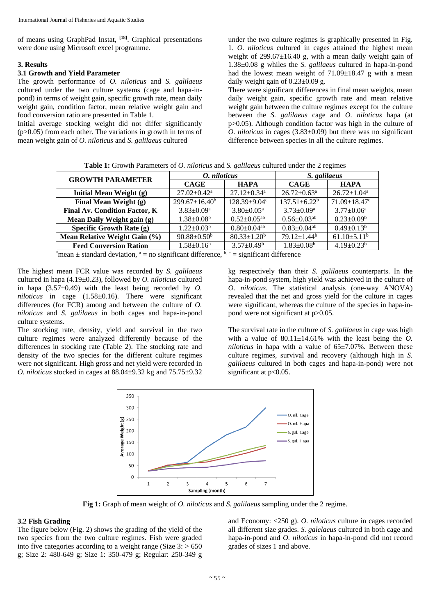of means using GraphPad Instat, **[18]**. Graphical presentations were done using Microsoft excel programme.

#### **3. Results**

# **3.1 Growth and Yield Parameter**

The growth performance of *O. niloticus* and *S. galilaeus* cultured under the two culture systems (cage and hapa-inpond) in terms of weight gain, specific growth rate, mean daily weight gain, condition factor, mean relative weight gain and food conversion ratio are presented in Table 1.

Initial average stocking weight did not differ significantly  $(p>0.05)$  from each other. The variations in growth in terms of mean weight gain of *O. niloticus* and *S. galilaeus* cultured

under the two culture regimes is graphically presented in Fig. 1. *O. niloticus* cultured in cages attained the highest mean weight of 299.67±16.40 g, with a mean daily weight gain of 1.38±0.08 g whiles the *S. galilaeus* cultured in hapa-in-pond had the lowest mean weight of  $71.09 \pm 18.47$  g with a mean daily weight gain of  $0.23 \pm 0.09$  g.

There were significant differences in final mean weights, mean daily weight gain, specific growth rate and mean relative weight gain between the culture regimes except for the culture between the *S. galilaeus* cage and *O. niloticus* hapa (at p>0.05). Although condition factor was high in the culture of *O. niloticus* in cages (3.83±0.09) but there was no significant difference between species in all the culture regimes.

| <b>Table 1:</b> Growth Parameters of <i>O. niloticus</i> and <i>S. galilaeus</i> cultured under the 2 regimes |  |
|---------------------------------------------------------------------------------------------------------------|--|
|---------------------------------------------------------------------------------------------------------------|--|

| <b>GROWTH PARAMETER</b>                                                                     | O. niloticus                 |                               | S. galilaeus                  |                            |
|---------------------------------------------------------------------------------------------|------------------------------|-------------------------------|-------------------------------|----------------------------|
|                                                                                             | <b>CAGE</b>                  | <b>HAPA</b>                   | <b>CAGE</b>                   | <b>HAPA</b>                |
| Initial Mean Weight (g)                                                                     | $27.02 + 0.42^a$             | $27.12 \pm 0.34$ <sup>a</sup> | $26.72 \pm 0.63$ <sup>a</sup> | $26.72 \pm 1.04^a$         |
| Final Mean Weight (g)                                                                       | $299.67 \pm 16.40^b$         | 128.39±9.04°                  | $137.51 \pm 6.22^b$           | $71.09 \pm 18.47$ c        |
| <b>Final Av. Condition Factor, K</b>                                                        | $3.83 \pm 0.09^a$            | $3.80 \pm 0.05^{\text{a}}$    | $3.73 \pm 0.09^a$             | $3.77 \pm 0.06^{\text{a}}$ |
| Mean Daily Weight gain (g)                                                                  | $1.38 \pm 0.08$ <sup>b</sup> | $0.52 \pm 0.05$ <sup>ab</sup> | $0.56 \pm 0.03$ <sup>ab</sup> | $0.23 \pm 0.09^b$          |
| Specific Growth Rate (g)                                                                    | $1.22 \pm 0.03^b$            | $0.80 \pm 0.04$ <sup>ab</sup> | $0.83 \pm 0.04$ <sup>ab</sup> | $0.49 \pm 0.13^b$          |
| Mean Relative Weight Gain (%)                                                               | $90.88 \pm 0.50^{\rm b}$     | $80.33 \pm 1.20^b$            | $79.12 \pm 1.44^b$            | $61.10\pm5.11^b$           |
| <b>Feed Conversion Ration</b>                                                               | $1.58 \pm 0.16^b$            | $3.57 \pm 0.49^b$             | $1.83 \pm 0.08^b$             | $4.19 \pm 0.23^b$          |
| to the complete distribution of the standard of the state of the state of the difference of |                              |                               |                               |                            |

\*mean  $\pm$  standard deviation,  $a = no$  significant difference,  $b, c =$  significant difference

The highest mean FCR value was recorded by *S. galilaeus* cultured in hapa (4.19±0.23), followed by *O. niloticus* cultured in hapa  $(3.57\pm0.49)$  with the least being recorded by *O*. *niloticus* in cage (1.58±0.16). There were significant differences (for FCR) among and between the culture of *O. niloticus* and *S. galilaeus* in both cages and hapa-in-pond culture systems.

The stocking rate, density, yield and survival in the two culture regimes were analyzed differently because of the differences in stocking rate (Table 2). The stocking rate and density of the two species for the different culture regimes were not significant. High gross and net yield were recorded in *O. niloticus* stocked in cages at 88.04±9.32 kg and 75.75±9.32 kg respectively than their *S. galilaeus* counterparts. In the hapa-in-pond system, high yield was achieved in the culture of *O. niloticus*. The statistical analysis (one-way ANOVA) revealed that the net and gross yield for the culture in cages were significant, whereas the culture of the species in hapa-inpond were not significant at p>0.05.

The survival rate in the culture of *S. galilaeus* in cage was high with a value of  $80.11 \pm 14.61\%$  with the least being the *O*. *niloticus* in hapa with a value of  $65\pm7.07\%$ . Between these culture regimes, survival and recovery (although high in *S. galilaeus* cultured in both cages and hapa-in-pond) were not significant at  $p<0.05$ .



**Fig 1:** Graph of mean weight of *O. niloticus* and *S. galilaeus* sampling under the 2 regime.

#### **3.2 Fish Grading**

The figure below (Fig. 2) shows the grading of the yield of the two species from the two culture regimes. Fish were graded into five categories according to a weight range (Size  $3$ :  $> 650$ ) g; Size 2: 480-649 g; Size 1: 350-479 g; Regular: 250-349 g

and Economy: <250 g). *O. niloticus* culture in cages recorded all different size grades. *S. galelaeus* cultured in both cage and hapa-in-pond and *O. niloticus* in hapa-in-pond did not record grades of sizes 1 and above.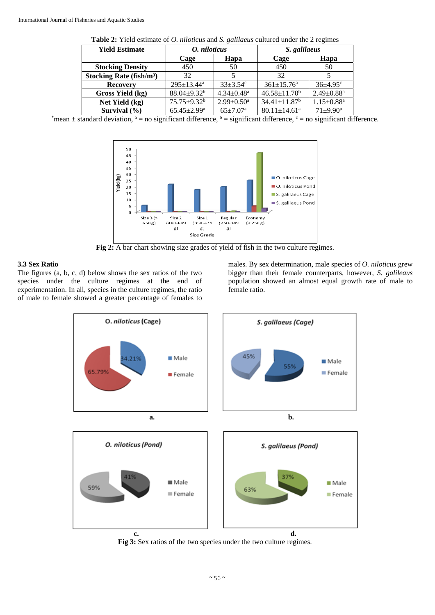| <b>THERE EXAMPLE EXAMPLE 21 ON THE CONSUMERS</b> $\alpha$ and $\beta$ . $\beta$ and all $\alpha$ and all $\alpha$ and $\alpha$ are $\alpha$ and $\beta$ |                               |                              |                                |                              |  |
|---------------------------------------------------------------------------------------------------------------------------------------------------------|-------------------------------|------------------------------|--------------------------------|------------------------------|--|
| <b>Yield Estimate</b>                                                                                                                                   | O. niloticus                  |                              | S. galilaeus                   |                              |  |
|                                                                                                                                                         | Hapa<br>Cage                  |                              | Cage                           | Hapa                         |  |
| <b>Stocking Density</b>                                                                                                                                 | 450                           | 50                           | 450                            | 50                           |  |
| Stocking Rate $(fish/m3)$                                                                                                                               | 32                            |                              | 32                             |                              |  |
| <b>Recovery</b>                                                                                                                                         | $295 \pm 13.44^a$             | $33 + 3.54^{\circ}$          | $361 \pm 15.76^a$              | $36+4.95^{\circ}$            |  |
| Gross Yield (kg)                                                                                                                                        | $88.04 \pm 9.32^b$            | $4.34 \pm 0.48$ <sup>a</sup> | $46.58 \pm 11.70^b$            | $2.49 \pm 0.88$ <sup>a</sup> |  |
| Net Yield (kg)                                                                                                                                          | $75.75 \pm 9.32^b$            | $2.99 \pm 0.50^{\circ}$      | $34.41 \pm 11.87$ <sup>b</sup> | $1.15 \pm 0.88$ <sup>a</sup> |  |
| Survival $(\% )$                                                                                                                                        | $65.45 \pm 2.99^{\mathrm{a}}$ | $65 \pm 7.07^{\rm a}$        | $80.11 \pm 14.61$ <sup>a</sup> | $71+9.90^a$                  |  |

**Table 2:** Yield estimate of *O. niloticus* and *S. galilaeus* cultured under the 2 regimes

\*mean  $\pm$  standard deviation,  $a =$  no significant difference,  $b =$  significant difference,  $c =$  no significant difference.



**Fig 2:** A bar chart showing size grades of yield of fish in the two culture regimes.

# **3.3 Sex Ratio**

The figures (a, b, c, d) below shows the sex ratios of the two species under the culture regimes at the end of experimentation. In all, species in the culture regimes, the ratio of male to female showed a greater percentage of females to males. By sex determination, male species of *O. niloticus* grew bigger than their female counterparts, however, *S. galileaus* population showed an almost equal growth rate of male to female ratio.



**Fig 3:** Sex ratios of the two species under the two culture regimes.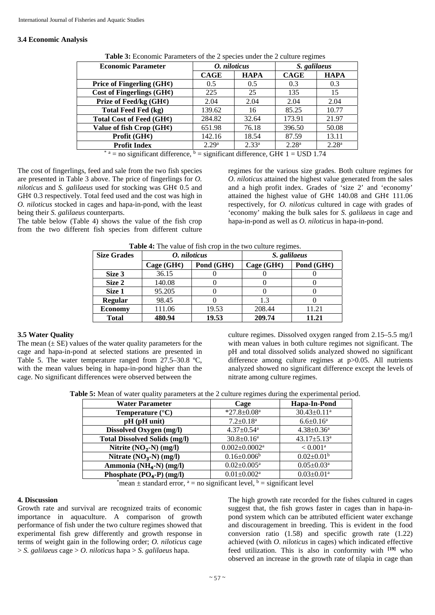#### **3.4 Economic Analysis**

| <b>Economic Parameter</b>                                                       | O. niloticus      |                   | S. galilaeus      |                   |
|---------------------------------------------------------------------------------|-------------------|-------------------|-------------------|-------------------|
|                                                                                 | <b>CAGE</b>       | <b>HAPA</b>       | <b>CAGE</b>       | <b>HAPA</b>       |
| Price of Fingerling $(GH\varphi)$                                               | 0.5               | 0.5               | 0.3               | 0.3               |
| Cost of Fingerlings $(GH\mathcal{L})$                                           | 225               | 25                | 135               | 15                |
| Prize of Feed/kg $(GH\varphi)$                                                  | 2.04              | 2.04              | 2.04              | 2.04              |
| <b>Total Feed Fed (kg)</b>                                                      | 139.62            | 16                | 85.25             | 10.77             |
| Total Cost of Feed $(GH\varphi)$                                                | 284.82            | 32.64             | 173.91            | 21.97             |
| Value of fish Crop $(GH\mathcal{L})$                                            | 651.98            | 76.18             | 396.50            | 50.08             |
| Profit $(GH\mathcal{C})$                                                        | 142.16            | 18.54             | 87.59             | 13.11             |
| <b>Profit Index</b>                                                             | 2.29 <sup>a</sup> | 2.33 <sup>a</sup> | 2.28 <sup>a</sup> | 2.28 <sup>a</sup> |
| * a = no significant difference, $b =$ significant difference, GH¢ 1 = USD 1.74 |                   |                   |                   |                   |

**Table 3:** Economic Parameters of the 2 species under the 2 culture regimes

The cost of fingerlings, feed and sale from the two fish species are presented in Table 3 above. The price of fingerlings for *O. niloticus* and *S. galilaeus* used for stocking was GH¢ 0.5 and GH¢ 0.3 respectively. Total feed used and the cost was high in *O. niloticus* stocked in cages and hapa-in-pond, with the least being their *S. galilaeus* counterparts.

The table below (Table 4) shows the value of the fish crop from the two different fish species from different culture regimes for the various size grades. Both culture regimes for *O. niloticus* attained the highest value generated from the sales and a high profit index. Grades of 'size 2' and 'economy' attained the highest value of GH $\phi$  140.08 and GH $\phi$  111.06 respectively, for *O. niloticus* cultured in cage with grades of 'economy' making the bulk sales for *S. galilaeus* in cage and hapa-in-pond as well as *O. niloticus* in hapa-in-pond.

| <b>Size Grades</b> | O. niloticus           |                        | S. galilaeus           |                        |
|--------------------|------------------------|------------------------|------------------------|------------------------|
|                    | Cage $(GH\mathcal{C})$ | Pond $(GH\mathcal{C})$ | Cage $(GH\mathcal{C})$ | Pond $(GH\mathcal{C})$ |
| Size 3             | 36.15                  |                        |                        |                        |
| Size 2             | 140.08                 |                        |                        |                        |
| Size 1             | 95.205                 |                        |                        |                        |
| <b>Regular</b>     | 98.45                  |                        | 1.3                    |                        |
| <b>Economy</b>     | 111.06                 | 19.53                  | 208.44                 | 11.21                  |
| <b>Total</b>       | 480.94                 | 19.53                  | 209.74                 | 11.21                  |

**Table 4:** The value of fish crop in the two culture regimes.

#### **3.5 Water Quality**

The mean  $(\pm S$ E) values of the water quality parameters for the cage and hapa-in-pond at selected stations are presented in Table 5. The water temperature ranged from 27.5–30.8 °C, with the mean values being in hapa-in-pond higher than the cage. No significant differences were observed between the

culture regimes. Dissolved oxygen ranged from 2.15–5.5 mg/l with mean values in both culture regimes not significant. The pH and total dissolved solids analyzed showed no significant difference among culture regimes at p > 0.05. All nutrients analyzed showed no significant difference except the levels of nitrate among culture regimes.

**Table 5:** Mean of water quality parameters at the 2 culture regimes during the experimental period.

| <b>Water Parameter</b>               | Cage                            | Hapa-In-Pond                  |
|--------------------------------------|---------------------------------|-------------------------------|
| Temperature $(^{\circ}C)$            | $*27.8 \pm 0.08$ <sup>a</sup>   | $30.43 \pm 0.11$ <sup>a</sup> |
| pH (pH unit)                         | $7.2 \pm 0.18$ <sup>a</sup>     | $6.6 \pm 0.16^a$              |
| Dissolved Oxygen (mg/l)              | $4.37 \pm 0.54$ <sup>a</sup>    | $4.38 \pm 0.36^a$             |
| <b>Total Dissolved Solids (mg/l)</b> | $30.8 \pm 0.16^a$               | $43.17 \pm 5.13$ <sup>a</sup> |
| Nitrite $(NO2-N)$ (mg/l)             | $0.002 \pm 0.0002$ <sup>a</sup> | $< 0.001^{\text{a}}$          |
| Nitrate $(NO3-N)$ (mg/l)             | $0.16 \pm 0.006^b$              | $0.02 \pm 0.01^b$             |
| Ammonia (NH <sub>4</sub> -N) (mg/l)  | $0.02 \pm 0.005^a$              | $0.05 \pm 0.03$ <sup>a</sup>  |
| Phosphate $(PO4-P)$ (mg/l)           | $0.01 \pm 0.002$ <sup>a</sup>   | $0.03 \pm 0.01$ <sup>a</sup>  |

\*mean  $\pm$  standard error,  $a =$  no significant level,  $b =$  significant level

# **4. Discussion**

Growth rate and survival are recognized traits of economic importance in aquaculture. A comparison of growth performance of fish under the two culture regimes showed that experimental fish grew differently and growth response in terms of weight gain in the following order; *O. niloticus* cage > *S. galilaeus* cage > *O. niloticus* hapa > *S. galilaeus* hapa.

The high growth rate recorded for the fishes cultured in cages suggest that, the fish grows faster in cages than in hapa-inpond system which can be attributed efficient water exchange and discouragement in breeding. This is evident in the food conversion ratio (1.58) and specific growth rate (1.22) achieved (with *O. niloticus* in cages) which indicated effective feed utilization. This is also in conformity with **[19]** who observed an increase in the growth rate of tilapia in cage than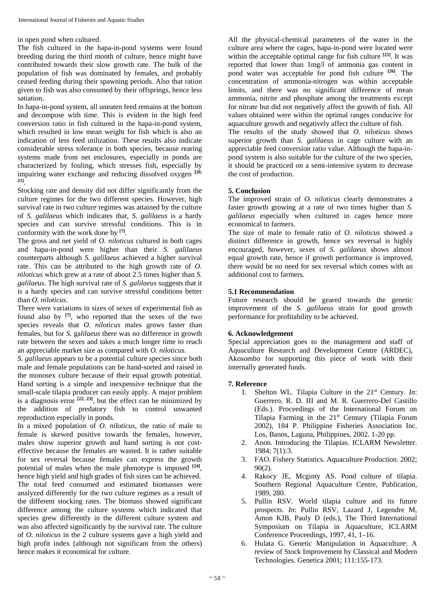in open pond when cultured.

The fish cultured in the hapa-in-pond systems were found breeding during the third month of culture, hence might have contributed towards their slow growth rate. The bulk of the population of fish was dominated by females, and probably ceased feeding during their spawning periods. Also that ration given to fish was also consumed by their offsprings, hence less satiation.

In hapa-in-pond system, all uneaten feed remains at the bottom and decompose with time. This is evident in the high feed conversion ratio in fish cultured in the hapa-in-pond system, which resulted in low mean weight for fish which is also an indication of less feed utilization. These results also indicate considerable stress tolerance in both species, because rearing systems made from net enclosures, especially in ponds are characterized by fouling, which stresses fish, especially by impairing water exchange and reducing dissolved oxygen **[20, 21]**.

Stocking rate and density did not differ significantly from the culture regimes for the two different species. However, high survival rate in two culture regimes was attained by the culture of *S. galilaeus* which indicates that, *S. galilaeus* is a hardy species and can survive stressful conditions. This is in conformity with the work done by **[7]**.

The gross and net yield of *O. niloticus* cultured in both cages and hapa-in-pond were higher than their *S. galilaeus* counterparts although *S. galilaeus* achieved a higher survival rate. This can be attributed to the high growth rate of *O. niloticus* which grew at a rate of about 2.5 times higher than *S. galilaeus*. The high survival rate of *S. galilaeus* suggests that it is a hardy species and can survive stressful conditions better than *O. niloticus*.

There were variations in sizes of sexes of experimental fish as found also by **[7]**, who reported that the sexes of the two species reveals that *O. niloticus* males grows faster than females, but for *S*. ga*lilaeus* there was no difference in growth rate between the sexes and takes a much longer time to reach an appreciable market size as compared with *O. niloticus*.

*S. galilaeus* appears to be a potential culture species since both male and female populations can be hand-sorted and raised in the monosex culture because of their equal growth potential. Hand sorting is a simple and inexpensive technique that the small-scale tilapia producer can easily apply. A major problem is a diagnosis error  $[22, 23]$ , but the effect can be minimized by the addition of predatory fish to control unwanted reproduction especially in ponds.

In a mixed population of *O. niloticus*, the ratio of male to female is skewed positive towards the females, however, males show superior growth and hand sorting is not costeffective because the females are wasted. It is rather suitable for sex reversal because females can express the growth potential of males when the male phenotype is imposed **[24]**, hence high yield and high grades of fish sizes can be achieved. The total feed consumed and estimated biomasses were analyzed differently for the two culture regimes as a result of the different stocking rates. The biomass showed significant difference among the culture systems which indicated that species grew differently in the different culture system and was also affected significantly by the survival rate. The culture of *O. niloticus* in the 2 culture systems gave a high yield and high profit index (although not significant from the others) hence makes it economical for culture.

All the physical-chemical parameters of the water in the culture area where the cages, hapa-in-pond were located were within the acceptable optimal range for fish culture **[25]**. It was reported that lower than 1mg/l of ammonia gas content in pond water was acceptable for pond fish culture **[26]**. The concentration of ammonia-nitrogen was within acceptable limits, and there was no significant difference of mean ammonia, nitrite and phosphate among the treatments except for nitrate but did not negatively affect the growth of fish. All values obtained were within the optimal ranges conducive for aquaculture growth and negatively affect the culture of fish.

The results of the study showed that *O. niloticus* shows superior growth than *S. galilaeus* in cage culture with an appreciable feed conversion ratio value. Although the hapa-inpond system is also suitable for the culture of the two species, it should be practiced on a semi-intensive system to decrease the cost of production.

# **5. Conclusion**

The improved strain of *O. niloticus* clearly demonstrates a faster growth growing at a rate of two times higher than *S. galilaeus* especially when cultured in cages hence more economical to farmers.

The size of male to female ratio of *O. niloticus* showed a distinct difference in growth, hence sex reversal is highly encouraged, however, sexes of *S. galilaeus* shows almost equal growth rate, hence if growth performance is improved, there would be no need for sex reversal which comes with an additional cost to farmers.

# **5.1 Recommendation**

Future research should be geared towards the genetic improvement of the *S. galilaeus* strain for good growth performance for profitability to be achieved.

# **6. Acknowledgement**

Special appreciation goes to the management and staff of Aquaculture Research and Development Centre (ARDEC), Akosombo for supporting this piece of work with their internally generated funds.

# **7. Reference**

- 1. Shelton WL. Tilapia Culture in the 21st Century. *In*: Guerrero, R. D. III and M. R. Guerrero-Del Castillo (Eds.). Proceedings of the International Forum on Tilapia Farming in the 21<sup>st</sup> Century (Tilapia Forum 2002), 184 P. Philippine Fisheries Association Inc. Los, Banos, Laguna, Philippines, 2002. 1-20 pp.
- 2. Anon. Introducing the Tilapias. ICLARM Newsletter. 1984; 7(1):3.
- 3. FAO. Fishery Statistics. Aquaculture Production. 2002; 90(2).
- 4. Rakocy JE, Mcginty AS. Pond culture of tilapia. Southern Regional Aquaculture Centre, Publication, 1989, 280.
- 5. Pullin RSV. World tilapia culture and its future prospects. *In*: Pullin RSV, Lazard J, Legendre M, Amon KJB, Pauly D (eds.), The Third International Symposium on Tilapia in Aquaculture, ICLARM Conference Proceedings, 1997, 41, 1–16.
- 6. Hulata G. Genetic Manipulation in Aquaculture: A review of Stock Improvement by Classical and Modern Technologies. Genetica 2001; 111:155-173.